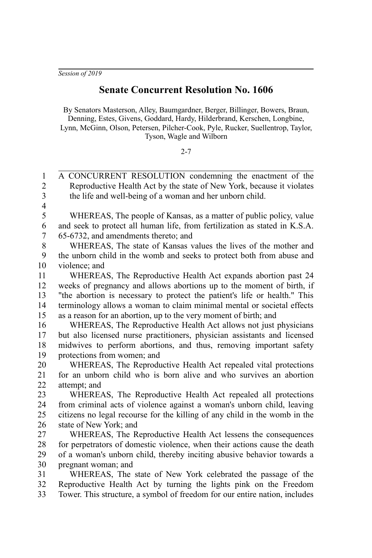*Session of 2019*

## **Senate Concurrent Resolution No. 1606**

By Senators Masterson, Alley, Baumgardner, Berger, Billinger, Bowers, Braun, Denning, Estes, Givens, Goddard, Hardy, Hilderbrand, Kerschen, Longbine, Lynn, McGinn, Olson, Petersen, Pilcher-Cook, Pyle, Rucker, Suellentrop, Taylor, Tyson, Wagle and Wilborn

2-7

A CONCURRENT RESOLUTION condemning the enactment of the Reproductive Health Act by the state of New York, because it violates the life and well-being of a woman and her unborn child. 1  $\overline{2}$ 3

4

WHEREAS, The people of Kansas, as a matter of public policy, value and seek to protect all human life, from fertilization as stated in K.S.A. 65-6732, and amendments thereto; and 5 6 7

WHEREAS, The state of Kansas values the lives of the mother and the unborn child in the womb and seeks to protect both from abuse and violence; and 8 9 10

WHEREAS, The Reproductive Health Act expands abortion past 24 weeks of pregnancy and allows abortions up to the moment of birth, if "the abortion is necessary to protect the patient's life or health." This terminology allows a woman to claim minimal mental or societal effects as a reason for an abortion, up to the very moment of birth; and 11 12 13 14 15

WHEREAS, The Reproductive Health Act allows not just physicians but also licensed nurse practitioners, physician assistants and licensed midwives to perform abortions, and thus, removing important safety protections from women; and 16 17 18 19

WHEREAS, The Reproductive Health Act repealed vital protections for an unborn child who is born alive and who survives an abortion attempt; and 20 21 22

WHEREAS, The Reproductive Health Act repealed all protections from criminal acts of violence against a woman's unborn child, leaving citizens no legal recourse for the killing of any child in the womb in the state of New York; and 23 24 25 26

WHEREAS, The Reproductive Health Act lessens the consequences for perpetrators of domestic violence, when their actions cause the death of a woman's unborn child, thereby inciting abusive behavior towards a pregnant woman; and 27 28 29 30

WHEREAS, The state of New York celebrated the passage of the Reproductive Health Act by turning the lights pink on the Freedom Tower. This structure, a symbol of freedom for our entire nation, includes 31 32 33